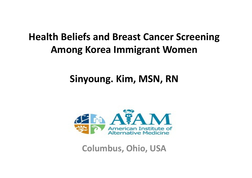## Health Beliefs and Breast Cancer Screening Among Korea Immigrant Women

## Sinyoung. Kim, MSN, RN



Columbus, Ohio, USA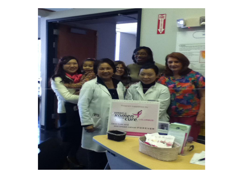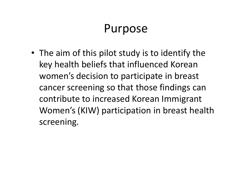## Purpose

• The aim of this pilot study is to identify the key health beliefs that influenced Korean women's decision to participate in breast cancer screening so that those findings can contribute to increased Korean Immigrant Women's (KIW) participation in breast health screening.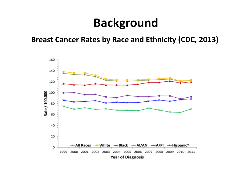## Background

#### Breast Cancer Rates by Race and Ethnicity (CDC, 2013)

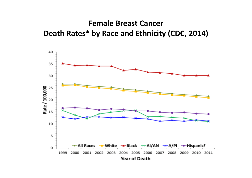

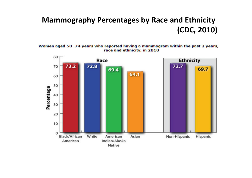### Mammography Percentages by Race and Ethnicity(CDC, 2010)



Women aged 50-74 years who reported having a mammogram within the past 2 years,

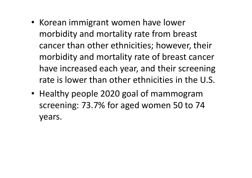- Korean immigrant women have lower morbidity and mortality rate from breast cancer than other ethnicities; however, their morbidity and mortality rate of breast cancer have increased each year, and their screening rate is lower than other ethnicities in the U.S.
- Healthy people 2020 goal of mammogram screening: 73.7% for aged women 50 to 74 years.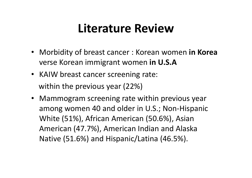## Literature Review

- Morbidity of breast cancer : Korean women in Korea verse Korean immigrant women in U.S.A
- KAIW breast cancer screening rate: within the previous year (22%)
- Mammogram screening rate within previous year among women 40 and older in U.S.; Non-Hispanic White (51%), African American (50.6%), Asian American (47.7%), American Indian and Alaska Native (51.6%) and Hispanic/Latina (46.5%).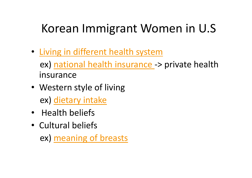# Korean Immigrant Women in U.S

- Living in different health system ex) national health insurance -> private health insurance
- Western style of livingex) dietary intake
- Health beliefs
- Cultural beliefs

ex) meaning of breasts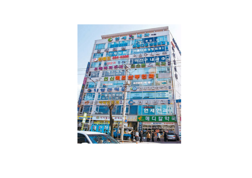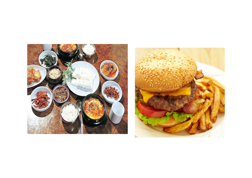

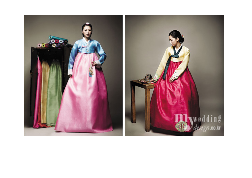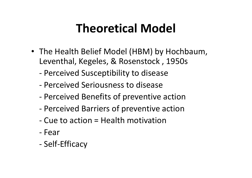# Theoretical Model

- The Health Belief Model (HBM) by Hochbaum, Leventhal, Kegeles, & Rosenstock , 1950s
	- -Perceived Susceptibility to disease
	- -Perceived Seriousness to disease
	- -Perceived Benefits of preventive action
	- -Perceived Barriers of preventive action
	- -Cue to action = Health motivation
	- -Fear
	- -Self-Efficacy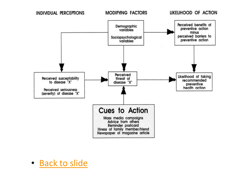

• <u>Back to slide</u>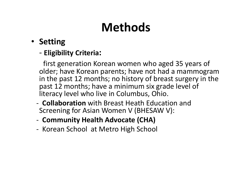# Methods

## • Setting

#### -- Eligibility Criteria:

first generation Korean women who aged 35 years of older; have Korean parents; have not had a mammogram in the past 12 months; no history of breast surgery in the past 12 months; have a minimum six grade level of literacy level who live in Columbus, Ohio.

- Collaboration with Breast Heath Education and Screening for Asian Women V (BHESAW V):
- -- Community Health Advocate (CHA)
- -Korean School at Metro High School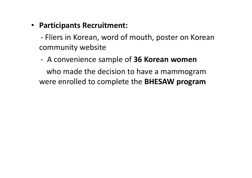• Participants Recruitment:

 Fliers in Korean, word of mouth, poster on Korean community website

#### - A convenience sample of 36 Korean women who made the decision to have a mammogram were enrolled to complete the BHESAW program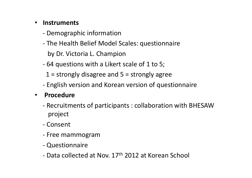#### •**Instruments**

- Demographic information
- The Health Belief Model Scales: questionnaire by Dr. Victoria L. Champion
- 64 questions with a Likert scale of 1 to 5;
	- $1 =$  strongly disagree and  $5 =$  strongly agree
- English version and Korean version of questionnaire
- • Procedure
	- - Recruitments of participants : collaboration with BHESAW project
	- **Consent**
	- Free mammogram
	- Questionnaire
	- Data collected at Nov. 17<sup>th</sup> 2012 at Korean School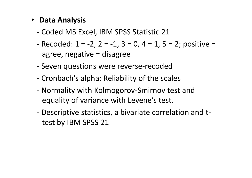## • Data Analysis

- -Coded MS Excel, IBM SPSS Statistic 21
- -Recoded:  $1 = -2$ ,  $2 = -1$ ,  $3 = 0$ ,  $4 = 1$ ,  $5 = 2$ ; positive = agree, negative = disagree
- -Seven questions were reverse-recoded
- -- Cronbach's alpha: Reliability of the scales<br>- Normality with Kolmogoroy-Smirnoy test
- Normality with Kolmogorov-Smirnov test and equality of variance with Levene's test.
- - Descriptive statistics, a bivariate correlation and ttest by IBM SPSS 21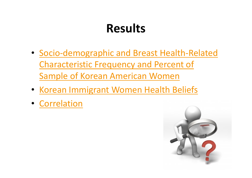# Results

- Socio-demographic and Breast Health-Related Characteristic Frequency and Percent of Sample of Korean American Women
- Korean Immigrant Women Health Beliefs
- Correlation

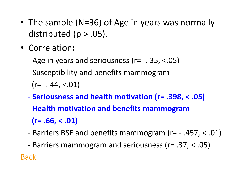- The sample (N=36) of Age in years was normally distributed ( $p > .05$ ).
- Correlation:
	- -Age in years and seriousness (r= -. 35, <.05)
	- -Susceptibility and benefits mammogram

 $(r=-.44, < .01)$ 

- -Seriousness and health motivation (r= .398, < .05)
- - Health motivation and benefits mammogram  $(r=.66,<.01)$
- -Barriers BSE and benefits mammogram (r= - .457, < .01)
- -Barriers mammogram and seriousness (r= .37, < .05)

## Back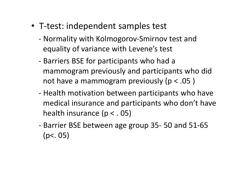- T-test: independent samples test
	- - Normality with Kolmogorov-Smirnov test and equality of variance with Levene's test
	- - Barriers BSE for participants who had a mammogram previously and participants who did not have a mammogram previously ( $p < .05$ )
	- Health motivation between participants who have medical insurance and participants who don't have health insurance (p < . 05)
	- - Barrier BSE between age group 35- 50 and 51-65  $(p<.05)$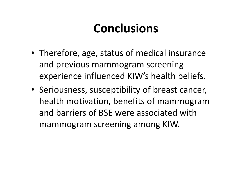# Conclusions

- Therefore, age, status of medical insurance and previous mammogram screening experience influenced KIW's health beliefs.
- Seriousness, susceptibility of breast cancer, health motivation, benefits of mammogram and barriers of BSE were associated with mammogram screening among KIW.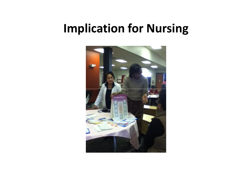## Implication for Nursing

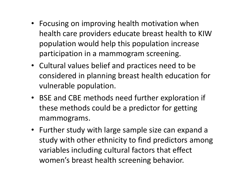- Focusing on improving health motivation when health care providers educate breast health to KIW population would help this population increase participation in a mammogram screening.
- Cultural values belief and practices need to be considered in planning breast health education for vulnerable population.
- BSE and CBE methods need further exploration if these methods could be a predictor for getting mammograms.
- Further study with large sample size can expand a study with other ethnicity to find predictors amongvariables including cultural factors that effect women's breast health screening behavior.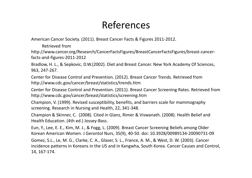## References

American Cancer Society. (2011). Breast Cancer Facts & Figures 2011-2012.

Retrieved from

http://www.cancer.org/Research/CancerFactsFigures/BreastCancerFactsFigures/breast-cancerfacts-and-figures-2011-2012

Bradlow, H. L., & Sepkovic, D.W.(2002). Diet and Breast Cancer. New York Academy Of Sciences, 963, 247-267.

Center for Disease Control and Prevention. (2012). Breast Cancer Trends. Retrieved from http://www.cdc.gov/cancer/breast/statistics/trends.htm

 Center for Disease Control and Prevention. (2011). Breast Cancer Screening Rates. Retrieved from http://www.cdc.gov/cancer/breast/statistics/screening.htm

 Champion, V. (1999). Revised susceptibility, benefits, and barriers scale for mammography screening. Research in Nursing and Health, 22, 341-348.

Champion & Skinner, C. (2008). Cited in Glanz, Rimer & Viswanath. (2008). Health Belief and Health Education. (4th ed.) Jossey-Bass.

Eun, Y., Lee, E. E., Kim, M. J., & Fogg, L. (2009). Breast Cancer Screening Beliefs among Older Korean American Women. J Gerontol Nurs, 35(9), 40-50. doi: 10.3928/00989134-20090731-09

Gomez, S.L., Le, M. G., Clarke, C. A., Glaser, S. L., France, A. M., & West, D. W. (2003). Cancer incidence patterns in Koreans in the US and in Kangwha, South Korea. Cancer Causes and Control, 14, 167-174.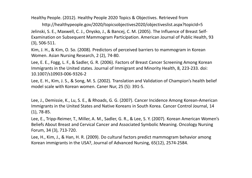Healthy People. (2012). Healthy People 2020 Topics & Objectives. Retrieved from

http://healthypeople.gov/2020/topicsobjectives2020/objectiveslist.aspx?topicId=5Jelinski, S. E., Maxwell, C. J., Onysko, J., & Bancej, C. M. (2005). The Influence of Breast Self-Examination on Subsequent Mammogram Participation. American Journal of Public Health, 93 (3), 506-511.

Kim, J. H., & Kim, O. So. (2008). Predictors of perceived barriers to mammogram in Korean Women. Asian Nursing Research, 2 (2), 74-80.

Lee, E. E., Fogg, L. F., & Sadler, G. R. (2006). Factors of Breast Cancer Screening Among Korean Immigrants in the United states. Journal of Immigrant and Minority Health, 8, 223-233. doi: 10.1007/s10903-006-9326-2

Lee, E. H., Kim, J. S., & Song, M. S. (2002). Translation and Validation of Champion's health belief model scale with Korean women. Caner Nur, 25 (5): 391-5.

Lee, J., Demissie, K., Lu, S. E., & Rhoads, G. G. (2007). Cancer Incidence Among Korean-American Immigrants in the United States and Native Koreans in South Korea. Cancer Control Journal, 14 (1), 78-85.

Lee, E., Tripp-Reimer, T., Miller, A. M., Sadler, G. R., & Lee, S. Y. (2007). Korean American Women's Beliefs About Breast and Cervical Cancer and Associated Symbolic Meaning. Oncology Nursing Forum, 34 (3), 713-720.

Lee, H., Kim, J., & Han, H. R. (2009). Do cultural factors predict mammogram behavior among Korean immigrants in the USA?, Journal of Advanced Nursing, 65(12), 2574-2584.